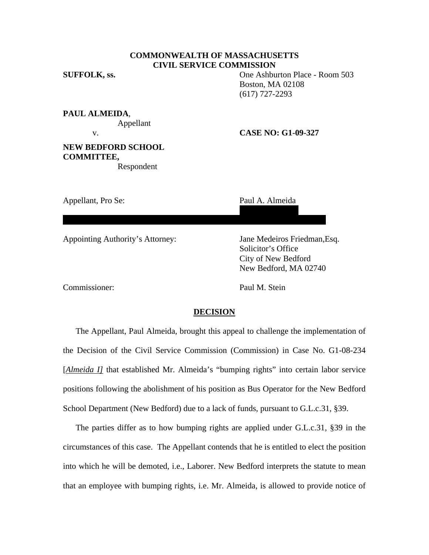## **COMMONWEALTH OF MASSACHUSETTS CIVIL SERVICE COMMISSION**

**SUFFOLK, ss.** One Ashburton Place - Room 503 Boston, MA 02108 (617) 727-2293

**PAUL ALMEIDA**, Appellant

v. **CASE NO: G1-09-327** 

# **NEW BEDFORD SCHOOL COMMITTEE,**

Respondent

56 Morgan Street

New Bedford, MA 02740

Appellant, Pro Se: Paul A. Almeida

Appointing Authority's Attorney: Jane Medeiros Friedman,Esq.

 Solicitor's Office City of New Bedford New Bedford, MA 02740

Commissioner: Paul M. Stein

### **DECISION**

The Appellant, Paul Almeida, brought this appeal to challenge the implementation of the Decision of the Civil Service Commission (Commission) in Case No. G1-08-234 [*Almeida I]* that established Mr. Almeida's "bumping rights" into certain labor service positions following the abolishment of his position as Bus Operator for the New Bedford School Department (New Bedford) due to a lack of funds, pursuant to G.L.c.31, §39.

The parties differ as to how bumping rights are applied under G.L.c.31, §39 in the circumstances of this case. The Appellant contends that he is entitled to elect the position into which he will be demoted, i.e., Laborer. New Bedford interprets the statute to mean that an employee with bumping rights, i.e. Mr. Almeida, is allowed to provide notice of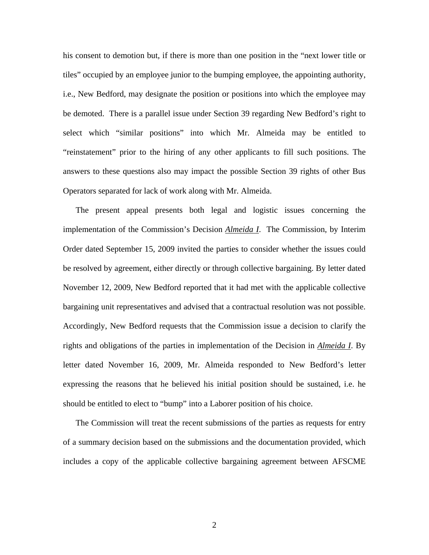his consent to demotion but, if there is more than one position in the "next lower title or tiles" occupied by an employee junior to the bumping employee, the appointing authority, i.e., New Bedford, may designate the position or positions into which the employee may be demoted. There is a parallel issue under Section 39 regarding New Bedford's right to select which "similar positions" into which Mr. Almeida may be entitled to "reinstatement" prior to the hiring of any other applicants to fill such positions. The answers to these questions also may impact the possible Section 39 rights of other Bus Operators separated for lack of work along with Mr. Almeida.

The present appeal presents both legal and logistic issues concerning the implementation of the Commission's Decision *Almeida I*. The Commission, by Interim Order dated September 15, 2009 invited the parties to consider whether the issues could be resolved by agreement, either directly or through collective bargaining. By letter dated November 12, 2009, New Bedford reported that it had met with the applicable collective bargaining unit representatives and advised that a contractual resolution was not possible. Accordingly, New Bedford requests that the Commission issue a decision to clarify the rights and obligations of the parties in implementation of the Decision in *Almeida I*. By letter dated November 16, 2009, Mr. Almeida responded to New Bedford's letter expressing the reasons that he believed his initial position should be sustained, i.e. he should be entitled to elect to "bump" into a Laborer position of his choice.

The Commission will treat the recent submissions of the parties as requests for entry of a summary decision based on the submissions and the documentation provided, which includes a copy of the applicable collective bargaining agreement between AFSCME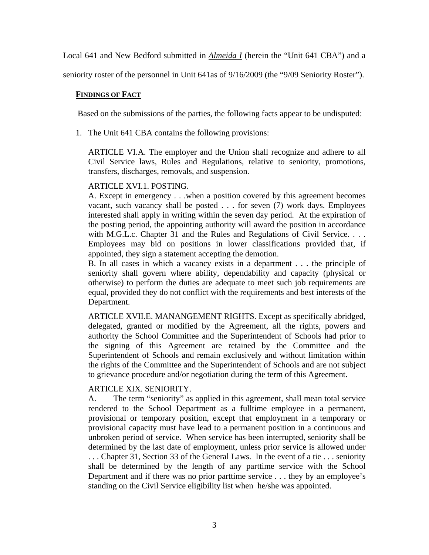Local 641 and New Bedford submitted in *Almeida I* (herein the "Unit 641 CBA") and a

seniority roster of the personnel in Unit 641as of 9/16/2009 (the "9/09 Seniority Roster").

## **FINDINGS OF FACT**

Based on the submissions of the parties, the following facts appear to be undisputed:

1. The Unit 641 CBA contains the following provisions:

ARTICLE VI.A. The employer and the Union shall recognize and adhere to all Civil Service laws, Rules and Regulations, relative to seniority, promotions, transfers, discharges, removals, and suspension.

## ARTICLE XVI.1. POSTING.

A. Except in emergency . . .when a position covered by this agreement becomes vacant, such vacancy shall be posted . . . for seven (7) work days. Employees interested shall apply in writing within the seven day period. At the expiration of the posting period, the appointing authority will award the position in accordance with M.G.L.c. Chapter 31 and the Rules and Regulations of Civil Service. . . . Employees may bid on positions in lower classifications provided that, if appointed, they sign a statement accepting the demotion.

B. In all cases in which a vacancy exists in a department . . . the principle of seniority shall govern where ability, dependability and capacity (physical or otherwise) to perform the duties are adequate to meet such job requirements are equal, provided they do not conflict with the requirements and best interests of the Department.

ARTICLE XVII.E. MANANGEMENT RIGHTS. Except as specifically abridged, delegated, granted or modified by the Agreement, all the rights, powers and authority the School Committee and the Superintendent of Schools had prior to the signing of this Agreement are retained by the Committee and the Superintendent of Schools and remain exclusively and without limitation within the rights of the Committee and the Superintendent of Schools and are not subject to grievance procedure and/or negotiation during the term of this Agreement.

## ARTICLE XIX. SENIORITY.

A. The term "seniority" as applied in this agreement, shall mean total service rendered to the School Department as a fulltime employee in a permanent, provisional or temporary position, except that employment in a temporary or provisional capacity must have lead to a permanent position in a continuous and unbroken period of service. When service has been interrupted, seniority shall be determined by the last date of employment, unless prior service is allowed under . . . Chapter 31, Section 33 of the General Laws. In the event of a tie . . . seniority shall be determined by the length of any parttime service with the School Department and if there was no prior parttime service . . . they by an employee's standing on the Civil Service eligibility list when he/she was appointed.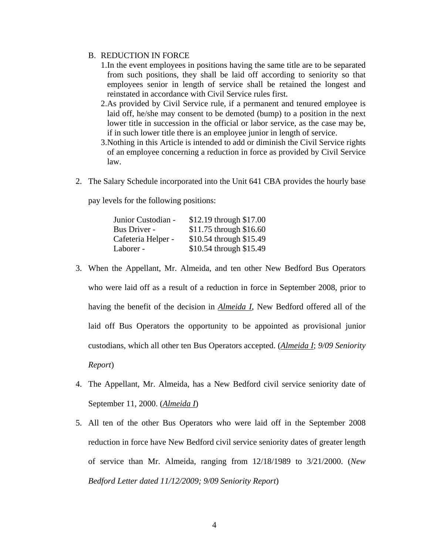## B. REDUCTION IN FORCE

- 1.In the event employees in positions having the same title are to be separated from such positions, they shall be laid off according to seniority so that employees senior in length of service shall be retained the longest and reinstated in accordance with Civil Service rules first.
- 2.As provided by Civil Service rule, if a permanent and tenured employee is laid off, he/she may consent to be demoted (bump) to a position in the next lower title in succession in the official or labor service, as the case may be, if in such lower title there is an employee junior in length of service.
- 3.Nothing in this Article is intended to add or diminish the Civil Service rights of an employee concerning a reduction in force as provided by Civil Service law.
- 2. The Salary Schedule incorporated into the Unit 641 CBA provides the hourly base

pay levels for the following positions:

| Junior Custodian - | \$12.19 through \$17.00 |
|--------------------|-------------------------|
| Bus Driver -       | \$11.75 through \$16.60 |
| Cafeteria Helper - | \$10.54 through \$15.49 |
| Laborer -          | \$10.54 through \$15.49 |

- 3. When the Appellant, Mr. Almeida, and ten other New Bedford Bus Operators who were laid off as a result of a reduction in force in September 2008, prior to having the benefit of the decision in *Almeida I*, New Bedford offered all of the laid off Bus Operators the opportunity to be appointed as provisional junior custodians, which all other ten Bus Operators accepted. (*Almeida I*; *9/09 Seniority Report*)
- 4. The Appellant, Mr. Almeida, has a New Bedford civil service seniority date of September 11, 2000. (*Almeida I*)
- 5. All ten of the other Bus Operators who were laid off in the September 2008 reduction in force have New Bedford civil service seniority dates of greater length of service than Mr. Almeida, ranging from 12/18/1989 to 3/21/2000. (*New Bedford Letter dated 11/12/2009; 9/09 Seniority Report*)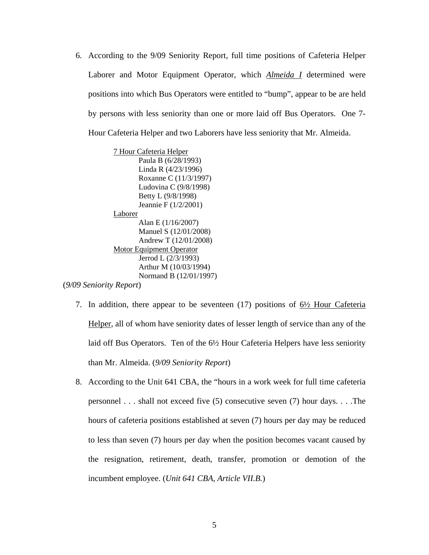6. According to the 9/09 Seniority Report, full time positions of Cafeteria Helper Laborer and Motor Equipment Operator, which *Almeida I* determined were positions into which Bus Operators were entitled to "bump", appear to be are held by persons with less seniority than one or more laid off Bus Operators. One 7- Hour Cafeteria Helper and two Laborers have less seniority that Mr. Almeida.

7 Hour Cafeteria Helper Paula B (6/28/1993) Linda R (4/23/1996) Roxanne C (11/3/1997) Ludovina C (9/8/1998) Betty L (9/8/1998) Jeannie F (1/2/2001) Laborer Alan E (1/16/2007) Manuel S (12/01/2008) Andrew T (12/01/2008) Motor Equipment Operator Jerrod L (2/3/1993) Arthur M (10/03/1994) Normand B (12/01/1997) (*9/09 Seniority Report*)

- 7. In addition, there appear to be seventeen (17) positions of 6½ Hour Cafeteria Helper, all of whom have seniority dates of lesser length of service than any of the laid off Bus Operators. Ten of the 6½ Hour Cafeteria Helpers have less seniority than Mr. Almeida. (*9/09 Seniority Report*)
- 8. According to the Unit 641 CBA, the "hours in a work week for full time cafeteria personnel . . . shall not exceed five (5) consecutive seven (7) hour days. . . .The hours of cafeteria positions established at seven (7) hours per day may be reduced to less than seven (7) hours per day when the position becomes vacant caused by the resignation, retirement, death, transfer, promotion or demotion of the incumbent employee. (*Unit 641 CBA, Article VII.B.*)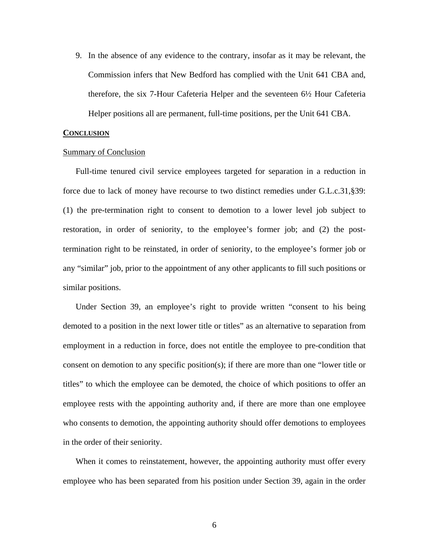9. In the absence of any evidence to the contrary, insofar as it may be relevant, the Commission infers that New Bedford has complied with the Unit 641 CBA and, therefore, the six 7-Hour Cafeteria Helper and the seventeen 6½ Hour Cafeteria Helper positions all are permanent, full-time positions, per the Unit 641 CBA.

#### **CONCLUSION**

#### Summary of Conclusion

Full-time tenured civil service employees targeted for separation in a reduction in force due to lack of money have recourse to two distinct remedies under G.L.c.31,§39: (1) the pre-termination right to consent to demotion to a lower level job subject to restoration, in order of seniority, to the employee's former job; and (2) the posttermination right to be reinstated, in order of seniority, to the employee's former job or any "similar" job, prior to the appointment of any other applicants to fill such positions or similar positions.

Under Section 39, an employee's right to provide written "consent to his being demoted to a position in the next lower title or titles" as an alternative to separation from employment in a reduction in force, does not entitle the employee to pre-condition that consent on demotion to any specific position(s); if there are more than one "lower title or titles" to which the employee can be demoted, the choice of which positions to offer an employee rests with the appointing authority and, if there are more than one employee who consents to demotion, the appointing authority should offer demotions to employees in the order of their seniority.

When it comes to reinstatement, however, the appointing authority must offer every employee who has been separated from his position under Section 39, again in the order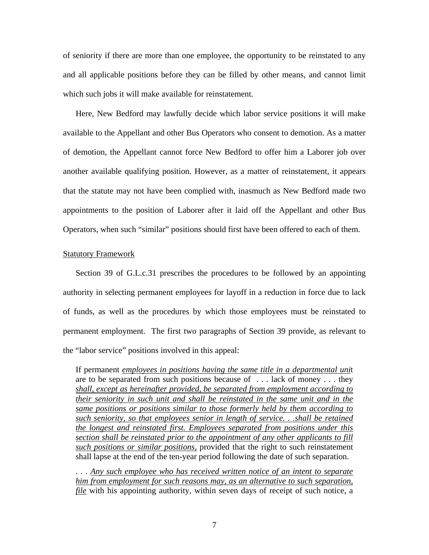of seniority if there are more than one employee, the opportunity to be reinstated to any and all applicable positions before they can be filled by other means, and cannot limit which such jobs it will make available for reinstatement.

Here, New Bedford may lawfully decide which labor service positions it will make available to the Appellant and other Bus Operators who consent to demotion. As a matter of demotion, the Appellant cannot force New Bedford to offer him a Laborer job over another available qualifying position. However, as a matter of reinstatement, it appears that the statute may not have been complied with, inasmuch as New Bedford made two appointments to the position of Laborer after it laid off the Appellant and other Bus Operators, when such "similar" positions should first have been offered to each of them.

#### Statutory Framework

Section 39 of G.L.c.31 prescribes the procedures to be followed by an appointing authority in selecting permanent employees for layoff in a reduction in force due to lack of funds, as well as the procedures by which those employees must be reinstated to permanent employment. The first two paragraphs of Section 39 provide, as relevant to the "labor service" positions involved in this appeal:

If permanent *employees in positions having the same title in a departmental uni*t are to be separated from such positions because of . . . lack of money . . . they *shall, except as hereinafter provided, be separated from employment according to their seniority in such unit and shall be reinstated in the same unit and in the same positions or positions similar to those formerly held by them according to such seniority, so that employees senior in length of service. . .shall be retained the longest and reinstated first. Employees separated from positions under this section shall be reinstated prior to the appointment of any other applicants to fill such positions or similar positions,* provided that the right to such reinstatement shall lapse at the end of the ten-year period following the date of such separation.

. . . *Any such employee who has received written notice of an intent to separate him from employment for such reasons may, as an alternative to such separation, file* with his appointing authority, within seven days of receipt of such notice, a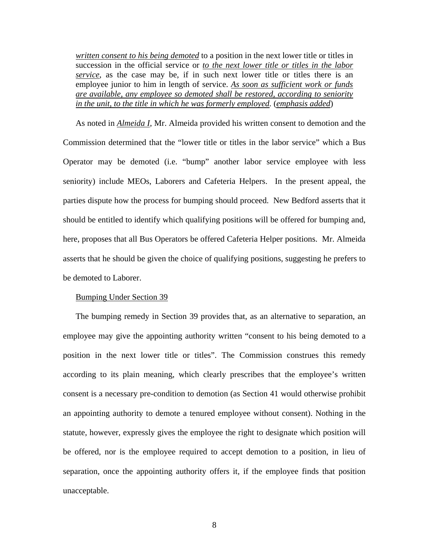*written consent to his being demoted* to a position in the next lower title or titles in succession in the official service or *to the next lower title or titles in the labor service*, as the case may be, if in such next lower title or titles there is an employee junior to him in length of service. *As soon as sufficient work or funds are available, any employee so demoted shall be restored, according to seniority in the unit, to the title in which he was formerly employed.* (*emphasis added*)

As noted in *Almeida I*, Mr. Almeida provided his written consent to demotion and the Commission determined that the "lower title or titles in the labor service" which a Bus Operator may be demoted (i.e. "bump" another labor service employee with less seniority) include MEOs, Laborers and Cafeteria Helpers. In the present appeal, the parties dispute how the process for bumping should proceed. New Bedford asserts that it should be entitled to identify which qualifying positions will be offered for bumping and, here, proposes that all Bus Operators be offered Cafeteria Helper positions. Mr. Almeida asserts that he should be given the choice of qualifying positions, suggesting he prefers to be demoted to Laborer.

#### Bumping Under Section 39

The bumping remedy in Section 39 provides that, as an alternative to separation, an employee may give the appointing authority written "consent to his being demoted to a position in the next lower title or titles". The Commission construes this remedy according to its plain meaning, which clearly prescribes that the employee's written consent is a necessary pre-condition to demotion (as Section 41 would otherwise prohibit an appointing authority to demote a tenured employee without consent). Nothing in the statute, however, expressly gives the employee the right to designate which position will be offered, nor is the employee required to accept demotion to a position, in lieu of separation, once the appointing authority offers it, if the employee finds that position unacceptable.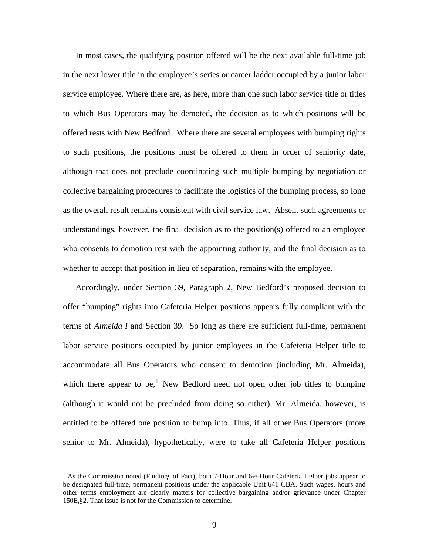In most cases, the qualifying position offered will be the next available full-time job in the next lower title in the employee's series or career ladder occupied by a junior labor service employee. Where there are, as here, more than one such labor service title or titles to which Bus Operators may be demoted, the decision as to which positions will be offered rests with New Bedford. Where there are several employees with bumping rights to such positions, the positions must be offered to them in order of seniority date, although that does not preclude coordinating such multiple bumping by negotiation or collective bargaining procedures to facilitate the logistics of the bumping process, so long as the overall result remains consistent with civil service law. Absent such agreements or understandings, however, the final decision as to the position(s) offered to an employee who consents to demotion rest with the appointing authority, and the final decision as to whether to accept that position in lieu of separation, remains with the employee.

Accordingly, under Section 39, Paragraph 2, New Bedford's proposed decision to offer "bumping" rights into Cafeteria Helper positions appears fully compliant with the terms of *Almeida I* and Section 39. So long as there are sufficient full-time, permanent labor service positions occupied by junior employees in the Cafeteria Helper title to accommodate all Bus Operators who consent to demotion (including Mr. Almeida), which there appear to be,<sup>[1](#page-8-0)</sup> New Bedford need not open other job titles to bumping (although it would not be precluded from doing so either). Mr. Almeida, however, is entitled to be offered one position to bump into. Thus, if all other Bus Operators (more senior to Mr. Almeida), hypothetically, were to take all Cafeteria Helper positions

<u>.</u>

<span id="page-8-0"></span><sup>&</sup>lt;sup>1</sup> As the Commission noted (Findings of Fact), both 7-Hour and 6½-Hour Cafeteria Helper jobs appear to be designated full-time, permanent positions under the applicable Unit 641 CBA. Such wages, hours and other terms employment are clearly matters for collective bargaining and/or grievance under Chapter 150E,§2. That issue is not for the Commission to determine.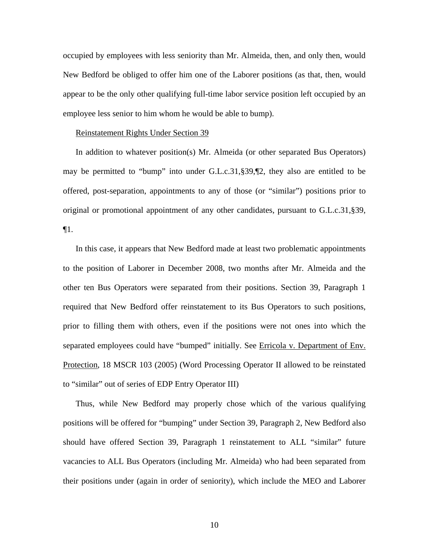occupied by employees with less seniority than Mr. Almeida, then, and only then, would New Bedford be obliged to offer him one of the Laborer positions (as that, then, would appear to be the only other qualifying full-time labor service position left occupied by an employee less senior to him whom he would be able to bump).

#### Reinstatement Rights Under Section 39

In addition to whatever position(s) Mr. Almeida (or other separated Bus Operators) may be permitted to "bump" into under G.L.c.31,§39,¶2, they also are entitled to be offered, post-separation, appointments to any of those (or "similar") positions prior to original or promotional appointment of any other candidates, pursuant to G.L.c.31,§39, ¶1.

In this case, it appears that New Bedford made at least two problematic appointments to the position of Laborer in December 2008, two months after Mr. Almeida and the other ten Bus Operators were separated from their positions. Section 39, Paragraph 1 required that New Bedford offer reinstatement to its Bus Operators to such positions, prior to filling them with others, even if the positions were not ones into which the separated employees could have "bumped" initially. See Erricola v. Department of Env. Protection, 18 MSCR 103 (2005) (Word Processing Operator II allowed to be reinstated to "similar" out of series of EDP Entry Operator III)

Thus, while New Bedford may properly chose which of the various qualifying positions will be offered for "bumping" under Section 39, Paragraph 2, New Bedford also should have offered Section 39, Paragraph 1 reinstatement to ALL "similar" future vacancies to ALL Bus Operators (including Mr. Almeida) who had been separated from their positions under (again in order of seniority), which include the MEO and Laborer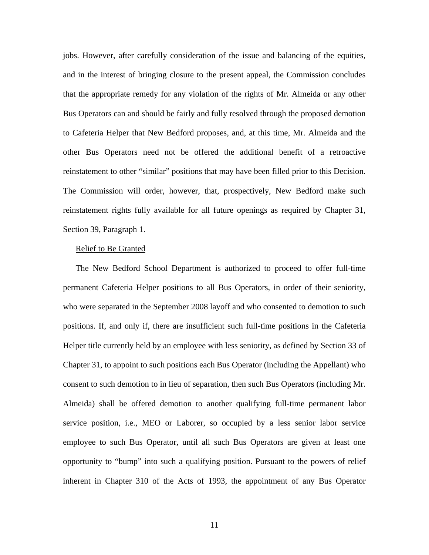jobs. However, after carefully consideration of the issue and balancing of the equities, and in the interest of bringing closure to the present appeal, the Commission concludes that the appropriate remedy for any violation of the rights of Mr. Almeida or any other Bus Operators can and should be fairly and fully resolved through the proposed demotion to Cafeteria Helper that New Bedford proposes, and, at this time, Mr. Almeida and the other Bus Operators need not be offered the additional benefit of a retroactive reinstatement to other "similar" positions that may have been filled prior to this Decision. The Commission will order, however, that, prospectively, New Bedford make such reinstatement rights fully available for all future openings as required by Chapter 31, Section 39, Paragraph 1.

#### Relief to Be Granted

The New Bedford School Department is authorized to proceed to offer full-time permanent Cafeteria Helper positions to all Bus Operators, in order of their seniority, who were separated in the September 2008 layoff and who consented to demotion to such positions. If, and only if, there are insufficient such full-time positions in the Cafeteria Helper title currently held by an employee with less seniority, as defined by Section 33 of Chapter 31, to appoint to such positions each Bus Operator (including the Appellant) who consent to such demotion to in lieu of separation, then such Bus Operators (including Mr. Almeida) shall be offered demotion to another qualifying full-time permanent labor service position, i.e., MEO or Laborer, so occupied by a less senior labor service employee to such Bus Operator, until all such Bus Operators are given at least one opportunity to "bump" into such a qualifying position. Pursuant to the powers of relief inherent in Chapter 310 of the Acts of 1993, the appointment of any Bus Operator